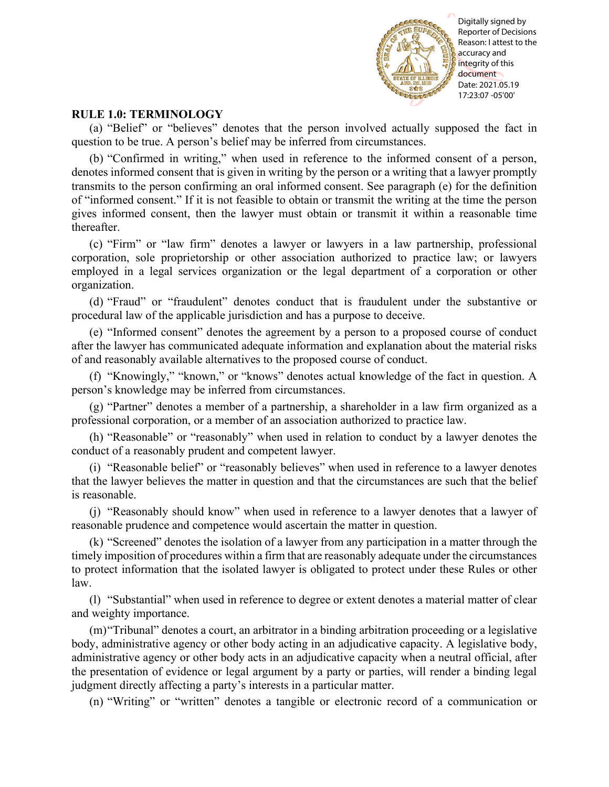

# **RULE 1.0: TERMINOLOGY**

(a) "Belief" or "believes" denotes that the person involved actually supposed the fact in question to be true. A person's belief may be inferred from circumstances.

(b) "Confirmed in writing," when used in reference to the informed consent of a person, denotes informed consent that is given in writing by the person or a writing that a lawyer promptly transmits to the person confirming an oral informed consent. See paragraph (e) for the definition of "informed consent." If it is not feasible to obtain or transmit the writing at the time the person gives informed consent, then the lawyer must obtain or transmit it within a reasonable time thereafter. **EVALUATION COVERT CONTROLL AS CONSULTERT AND CONSULTERT UNIVERSITY OF A CONSULTERT OF A CONSULTERT OF A CONSULTERT OF A CONSULTERT OF A CONSULTERT OF A CONSULTERT OF A CONSULTERT OF A CONSULTERT OF A CONSULTERT OF A CONS** 

(c) "Firm" or "law firm" denotes a lawyer or lawyers in a law partnership, professional corporation, sole proprietorship or other association authorized to practice law; or lawyers employed in a legal services organization or the legal department of a corporation or other organization.

(d) "Fraud" or "fraudulent" denotes conduct that is fraudulent under the substantive or procedural law of the applicable jurisdiction and has a purpose to deceive.

(e) "Informed consent" denotes the agreement by a person to a proposed course of conduct after the lawyer has communicated adequate information and explanation about the material risks of and reasonably available alternatives to the proposed course of conduct.

(f) "Knowingly," "known," or "knows" denotes actual knowledge of the fact in question. A person's knowledge may be inferred from circumstances.

(g) "Partner" denotes a member of a partnership, a shareholder in a law firm organized as a professional corporation, or a member of an association authorized to practice law.

(h) "Reasonable" or "reasonably" when used in relation to conduct by a lawyer denotes the conduct of a reasonably prudent and competent lawyer.

(i) "Reasonable belief" or "reasonably believes" when used in reference to a lawyer denotes that the lawyer believes the matter in question and that the circumstances are such that the belief is reasonable.

(j) "Reasonably should know" when used in reference to a lawyer denotes that a lawyer of reasonable prudence and competence would ascertain the matter in question.

(k) "Screened" denotes the isolation of a lawyer from any participation in a matter through the timely imposition of procedures within a firm that are reasonably adequate under the circumstances to protect information that the isolated lawyer is obligated to protect under these Rules or other law.

(l) "Substantial" when used in reference to degree or extent denotes a material matter of clear and weighty importance.

(m)"Tribunal" denotes a court, an arbitrator in a binding arbitration proceeding or a legislative body, administrative agency or other body acting in an adjudicative capacity. A legislative body, administrative agency or other body acts in an adjudicative capacity when a neutral official, after the presentation of evidence or legal argument by a party or parties, will render a binding legal judgment directly affecting a party's interests in a particular matter.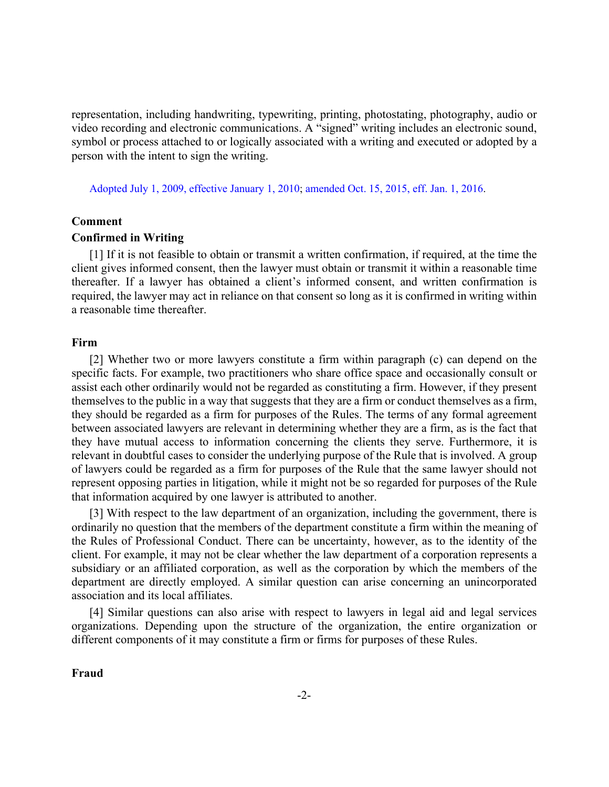representation, including handwriting, typewriting, printing, photostating, photography, audio or video recording and electronic communications. A "signed" writing includes an electronic sound, symbol or process attached to or logically associated with a writing and executed or adopted by a person with the intent to sign the writing.

[Adopted July 1, 2009, effective January 1, 2010;](http://www.illinoiscourts.gov/files/070109.pdf/amendment) [amended Oct. 15, 2015, eff.](http://www.illinoiscourts.gov/files/101515.pdf/amendment) Jan. 1, 2016.

### **Comment**

# **Confirmed in Writing**

[1] If it is not feasible to obtain or transmit a written confirmation, if required, at the time the client gives informed consent, then the lawyer must obtain or transmit it within a reasonable time thereafter. If a lawyer has obtained a client's informed consent, and written confirmation is required, the lawyer may act in reliance on that consent so long as it is confirmed in writing within a reasonable time thereafter.

#### **Firm**

[2] Whether two or more lawyers constitute a firm within paragraph (c) can depend on the specific facts. For example, two practitioners who share office space and occasionally consult or assist each other ordinarily would not be regarded as constituting a firm. However, if they present themselves to the public in a way that suggests that they are a firm or conduct themselves as a firm, they should be regarded as a firm for purposes of the Rules. The terms of any formal agreement between associated lawyers are relevant in determining whether they are a firm, as is the fact that they have mutual access to information concerning the clients they serve. Furthermore, it is relevant in doubtful cases to consider the underlying purpose of the Rule that is involved. A group of lawyers could be regarded as a firm for purposes of the Rule that the same lawyer should not represent opposing parties in litigation, while it might not be so regarded for purposes of the Rule that information acquired by one lawyer is attributed to another.

[3] With respect to the law department of an organization, including the government, there is ordinarily no question that the members of the department constitute a firm within the meaning of the Rules of Professional Conduct. There can be uncertainty, however, as to the identity of the client. For example, it may not be clear whether the law department of a corporation represents a subsidiary or an affiliated corporation, as well as the corporation by which the members of the department are directly employed. A similar question can arise concerning an unincorporated association and its local affiliates.

[4] Similar questions can also arise with respect to lawyers in legal aid and legal services organizations. Depending upon the structure of the organization, the entire organization or different components of it may constitute a firm or firms for purposes of these Rules.

# **Fraud**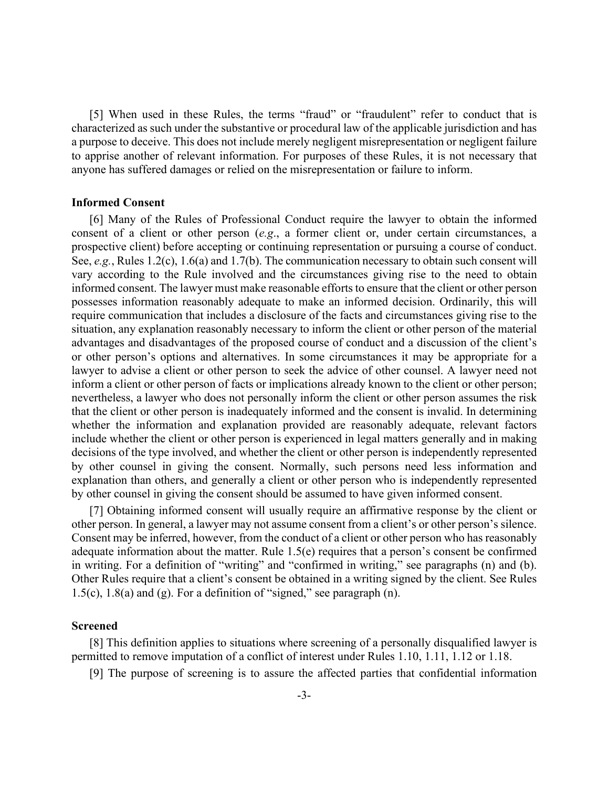[5] When used in these Rules, the terms "fraud" or "fraudulent" refer to conduct that is characterized as such under the substantive or procedural law of the applicable jurisdiction and has a purpose to deceive. This does not include merely negligent misrepresentation or negligent failure to apprise another of relevant information. For purposes of these Rules, it is not necessary that anyone has suffered damages or relied on the misrepresentation or failure to inform.

## **Informed Consent**

[6] Many of the Rules of Professional Conduct require the lawyer to obtain the informed consent of a client or other person (*e.g*., a former client or, under certain circumstances, a prospective client) before accepting or continuing representation or pursuing a course of conduct. See, *e.g.*, Rules 1.2(c), 1.6(a) and 1.7(b). The communication necessary to obtain such consent will vary according to the Rule involved and the circumstances giving rise to the need to obtain informed consent. The lawyer must make reasonable efforts to ensure that the client or other person possesses information reasonably adequate to make an informed decision. Ordinarily, this will require communication that includes a disclosure of the facts and circumstances giving rise to the situation, any explanation reasonably necessary to inform the client or other person of the material advantages and disadvantages of the proposed course of conduct and a discussion of the client's or other person's options and alternatives. In some circumstances it may be appropriate for a lawyer to advise a client or other person to seek the advice of other counsel. A lawyer need not inform a client or other person of facts or implications already known to the client or other person; nevertheless, a lawyer who does not personally inform the client or other person assumes the risk that the client or other person is inadequately informed and the consent is invalid. In determining whether the information and explanation provided are reasonably adequate, relevant factors include whether the client or other person is experienced in legal matters generally and in making decisions of the type involved, and whether the client or other person is independently represented by other counsel in giving the consent. Normally, such persons need less information and explanation than others, and generally a client or other person who is independently represented by other counsel in giving the consent should be assumed to have given informed consent.

[7] Obtaining informed consent will usually require an affirmative response by the client or other person. In general, a lawyer may not assume consent from a client's or other person's silence. Consent may be inferred, however, from the conduct of a client or other person who has reasonably adequate information about the matter. Rule 1.5(e) requires that a person's consent be confirmed in writing. For a definition of "writing" and "confirmed in writing," see paragraphs (n) and (b). Other Rules require that a client's consent be obtained in a writing signed by the client. See Rules 1.5(c), 1.8(a) and (g). For a definition of "signed," see paragraph (n).

### **Screened**

[8] This definition applies to situations where screening of a personally disqualified lawyer is permitted to remove imputation of a conflict of interest under Rules 1.10, 1.11, 1.12 or 1.18.

[9] The purpose of screening is to assure the affected parties that confidential information